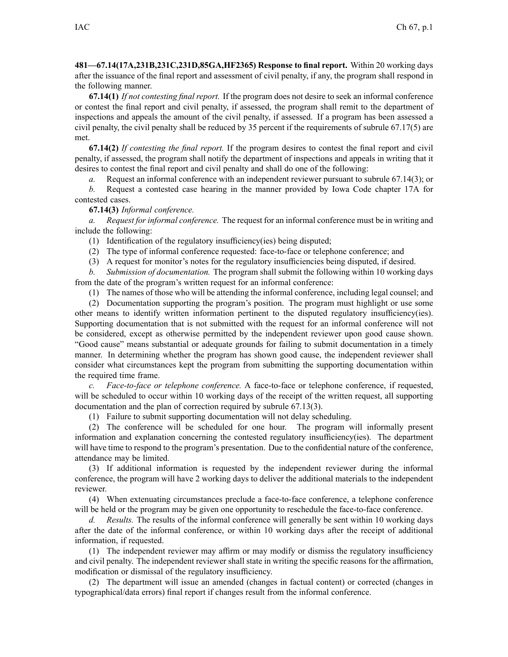**481—67.14(17A,231B,231C,231D,85GA,HF2365) Response to final report.** Within 20 working days after the issuance of the final repor<sup>t</sup> and assessment of civil penalty, if any, the program shall respond in the following manner.

**67.14(1)** *If not contesting final report.* If the program does not desire to seek an informal conference or contest the final repor<sup>t</sup> and civil penalty, if assessed, the program shall remit to the department of inspections and appeals the amount of the civil penalty, if assessed. If <sup>a</sup> program has been assessed <sup>a</sup> civil penalty, the civil penalty shall be reduced by 35 percen<sup>t</sup> if the requirements of subrule [67.17\(5\)](https://www.legis.iowa.gov/docs/iac/rule/481.67.17.pdf) are met.

**67.14(2)** *If contesting the final report.* If the program desires to contest the final repor<sup>t</sup> and civil penalty, if assessed, the program shall notify the department of inspections and appeals in writing that it desires to contest the final repor<sup>t</sup> and civil penalty and shall do one of the following:

*a.* Request an informal conference with an independent reviewer pursuan<sup>t</sup> to subrule [67.14\(3\)](https://www.legis.iowa.gov/docs/iac/rule/481.67.14.pdf); or

*b.* Request <sup>a</sup> contested case hearing in the manner provided by Iowa Code chapter [17A](https://www.legis.iowa.gov/docs/ico/chapter/17A.pdf) for contested cases.

**67.14(3)** *Informal conference.*

*a. Request for informal conference.* The reques<sup>t</sup> for an informal conference must be in writing and include the following:

(1) Identification of the regulatory insufficiency(ies) being disputed;

(2) The type of informal conference requested: face-to-face or telephone conference; and

(3) A reques<sup>t</sup> for monitor's notes for the regulatory insufficiencies being disputed, if desired.

*b. Submission of documentation.* The program shall submit the following within 10 working days from the date of the program's written reques<sup>t</sup> for an informal conference:

(1) The names of those who will be attending the informal conference, including legal counsel; and

(2) Documentation supporting the program's position. The program must highlight or use some other means to identify written information pertinent to the disputed regulatory insufficiency(ies). Supporting documentation that is not submitted with the reques<sup>t</sup> for an informal conference will not be considered, excep<sup>t</sup> as otherwise permitted by the independent reviewer upon good cause shown. "Good cause" means substantial or adequate grounds for failing to submit documentation in <sup>a</sup> timely manner. In determining whether the program has shown good cause, the independent reviewer shall consider what circumstances kept the program from submitting the supporting documentation within the required time frame.

*c. Face-to-face or telephone conference.* A face-to-face or telephone conference, if requested, will be scheduled to occur within 10 working days of the receipt of the written request, all supporting documentation and the plan of correction required by subrule [67.13\(3\)](https://www.legis.iowa.gov/docs/iac/rule/481.67.13.pdf).

(1) Failure to submit supporting documentation will not delay scheduling.

(2) The conference will be scheduled for one hour. The program will informally presen<sup>t</sup> information and explanation concerning the contested regulatory insufficiency(ies). The department will have time to respond to the program's presentation. Due to the confidential nature of the conference, attendance may be limited.

(3) If additional information is requested by the independent reviewer during the informal conference, the program will have 2 working days to deliver the additional materials to the independent reviewer.

(4) When extenuating circumstances preclude <sup>a</sup> face-to-face conference, <sup>a</sup> telephone conference will be held or the program may be given one opportunity to reschedule the face-to-face conference.

*d. Results.* The results of the informal conference will generally be sent within 10 working days after the date of the informal conference, or within 10 working days after the receipt of additional information, if requested.

(1) The independent reviewer may affirm or may modify or dismiss the regulatory insufficiency and civil penalty. The independent reviewer shall state in writing the specific reasons for the affirmation, modification or dismissal of the regulatory insufficiency.

(2) The department will issue an amended (changes in factual content) or corrected (changes in typographical/data errors) final repor<sup>t</sup> if changes result from the informal conference.